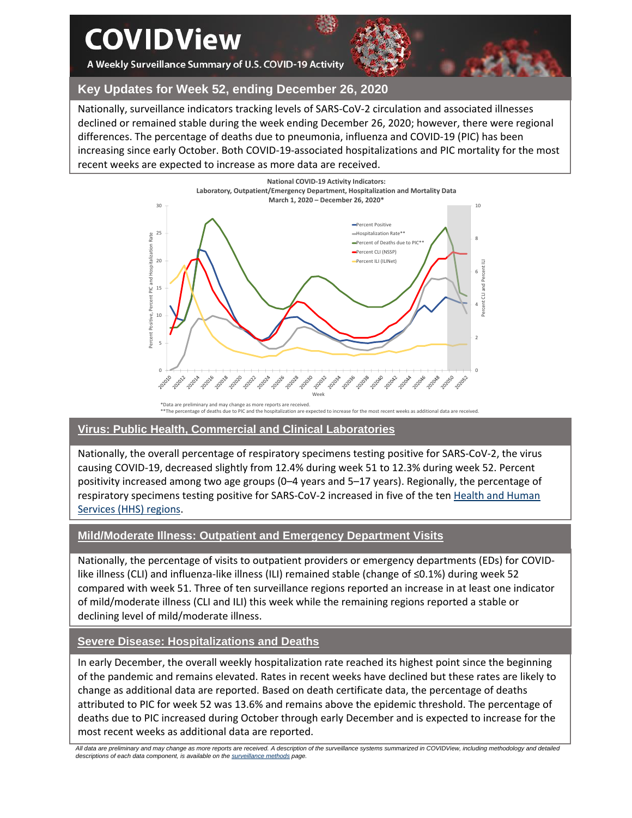# **COVIDView**

A Weekly Surveillance Summary of U.S. COVID-19 Activity



## **Key Updates for Week 52, ending December 26, 2020**

Nationally, surveillance indicators tracking levels of SARS-CoV-2 circulation and associated illnesses declined or remained stable during the week ending December 26, 2020; however, there were regional differences. The percentage of deaths due to pneumonia, influenza and COVID-19 (PIC) has been increasing since early October. Both COVID-19-associated hospitalizations and PIC mortality for the most recent weeks are expected to increase as more data are received.



#### **Virus: Public Health, Commercial and Clinical Laboratories**

Nationally, the overall percentage of respiratory specimens testing positive for SARS-CoV-2, the virus causing COVID-19, decreased slightly from 12.4% during week 51 to 12.3% during week 52. Percent positivity increased among two age groups (0–4 years and 5–17 years). Regionally, the percentage of respiratory specimens testing positive for SARS-CoV-2 increased in five of the te[n Health and Human](https://www.hhs.gov/about/agencies/iea/regional-offices/index.html)  [Services \(HHS\)](https://www.hhs.gov/about/agencies/iea/regional-offices/index.html) regions.

## **Mild/Moderate Illness: Outpatient and Emergency Department Visits**

Nationally, the percentage of visits to outpatient providers or emergency departments (EDs) for COVIDlike illness (CLI) and influenza-like illness (ILI) remained stable (change of ≤0.1%) during week 52 compared with week 51. Three of ten surveillance regions reported an increase in at least one indicator of mild/moderate illness (CLI and ILI) this week while the remaining regions reported a stable or declining level of mild/moderate illness.

## **Severe Disease: Hospitalizations and Deaths**

In early December, the overall weekly hospitalization rate reached its highest point since the beginning of the pandemic and remains elevated. Rates in recent weeks have declined but these rates are likely to change as additional data are reported. Based on death certificate data, the percentage of deaths attributed to PIC for week 52 was 13.6% and remains above the epidemic threshold. The percentage of deaths due to PIC increased during October through early December and is expected to increase for the most recent weeks as additional data are reported.

*All data are preliminary and may change as more reports are received. A description of the surveillance systems summarized in COVIDView, including methodology and detailed descriptions of each data component, is available on th[e surveillance methods](https://www.cdc.gov/coronavirus/2019-ncov/covid-data/covidview/purpose-methods.html) page.*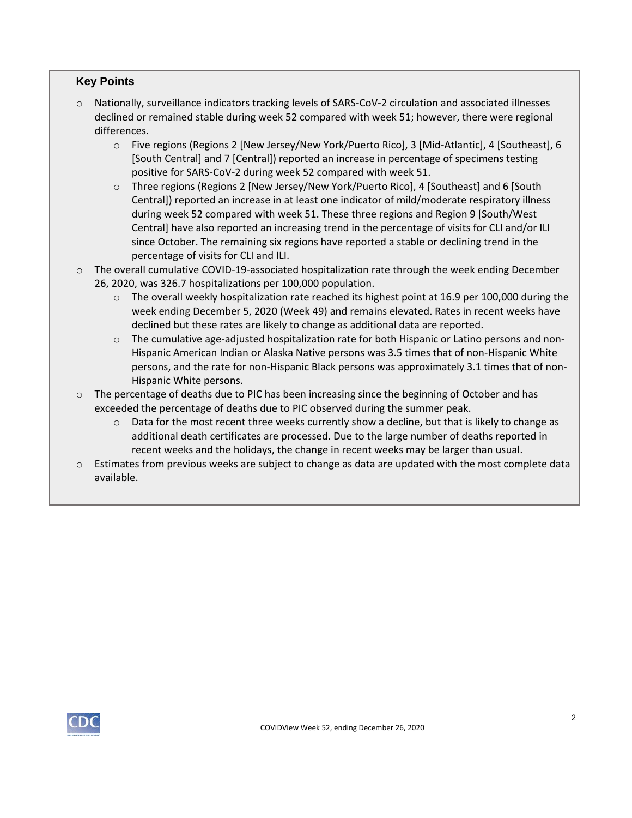## **Key Points**

- o Nationally, surveillance indicators tracking levels of SARS-CoV-2 circulation and associated illnesses declined or remained stable during week 52 compared with week 51; however, there were regional differences.
	- o Five regions (Regions 2 [New Jersey/New York/Puerto Rico], 3 [Mid-Atlantic], 4 [Southeast], 6 [South Central] and 7 [Central]) reported an increase in percentage of specimens testing positive for SARS-CoV-2 during week 52 compared with week 51.
	- o Three regions (Regions 2 [New Jersey/New York/Puerto Rico], 4 [Southeast] and 6 [South Central]) reported an increase in at least one indicator of mild/moderate respiratory illness during week 52 compared with week 51. These three regions and Region 9 [South/West Central] have also reported an increasing trend in the percentage of visits for CLI and/or ILI since October. The remaining six regions have reported a stable or declining trend in the percentage of visits for CLI and ILI.
- o The overall cumulative COVID-19-associated hospitalization rate through the week ending December 26, 2020, was 326.7 hospitalizations per 100,000 population.
	- $\circ$  The overall weekly hospitalization rate reached its highest point at 16.9 per 100,000 during the week ending December 5, 2020 (Week 49) and remains elevated. Rates in recent weeks have declined but these rates are likely to change as additional data are reported.
	- $\circ$  The cumulative age-adjusted hospitalization rate for both Hispanic or Latino persons and non-Hispanic American Indian or Alaska Native persons was 3.5 times that of non-Hispanic White persons, and the rate for non-Hispanic Black persons was approximately 3.1 times that of non-Hispanic White persons.
- $\circ$  The percentage of deaths due to PIC has been increasing since the beginning of October and has exceeded the percentage of deaths due to PIC observed during the summer peak.
	- $\circ$  Data for the most recent three weeks currently show a decline, but that is likely to change as additional death certificates are processed. Due to the large number of deaths reported in recent weeks and the holidays, the change in recent weeks may be larger than usual.
- $\circ$  Estimates from previous weeks are subject to change as data are updated with the most complete data available.

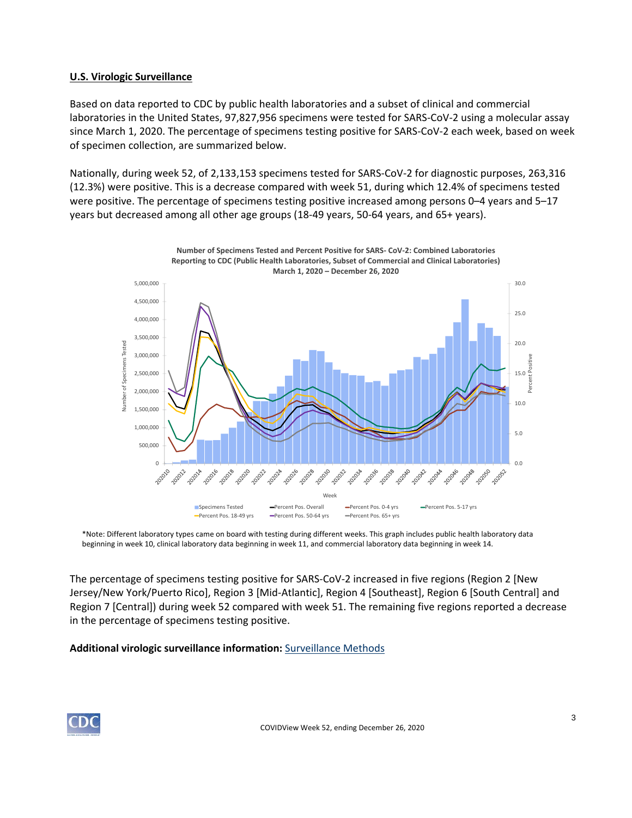#### **U.S. Virologic Surveillance**

Based on data reported to CDC by public health laboratories and a subset of clinical and commercial laboratories in the United States, 97,827,956 specimens were tested for SARS-CoV-2 using a molecular assay since March 1, 2020. The percentage of specimens testing positive for SARS-CoV-2 each week, based on week of specimen collection, are summarized below.

Nationally, during week 52, of 2,133,153 specimens tested for SARS-CoV-2 for diagnostic purposes, 263,316 (12.3%) were positive. This is a decrease compared with week 51, during which 12.4% of specimens tested were positive. The percentage of specimens testing positive increased among persons 0–4 years and 5–17 years but decreased among all other age groups (18-49 years, 50-64 years, and 65+ years).



\*Note: Different laboratory types came on board with testing during different weeks. This graph includes public health laboratory data beginning in week 10, clinical laboratory data beginning in week 11, and commercial laboratory data beginning in week 14.

The percentage of specimens testing positive for SARS-CoV-2 increased in five regions (Region 2 [New Jersey/New York/Puerto Rico], Region 3 [Mid-Atlantic], Region 4 [Southeast], Region 6 [South Central] and Region 7 [Central]) during week 52 compared with week 51. The remaining five regions reported a decrease in the percentage of specimens testing positive.

#### **Additional virologic surveillance information:** [Surveillance Methods](https://www.cdc.gov/coronavirus/2019-ncov/covid-data/covidview/purpose-methods.html#virologic)

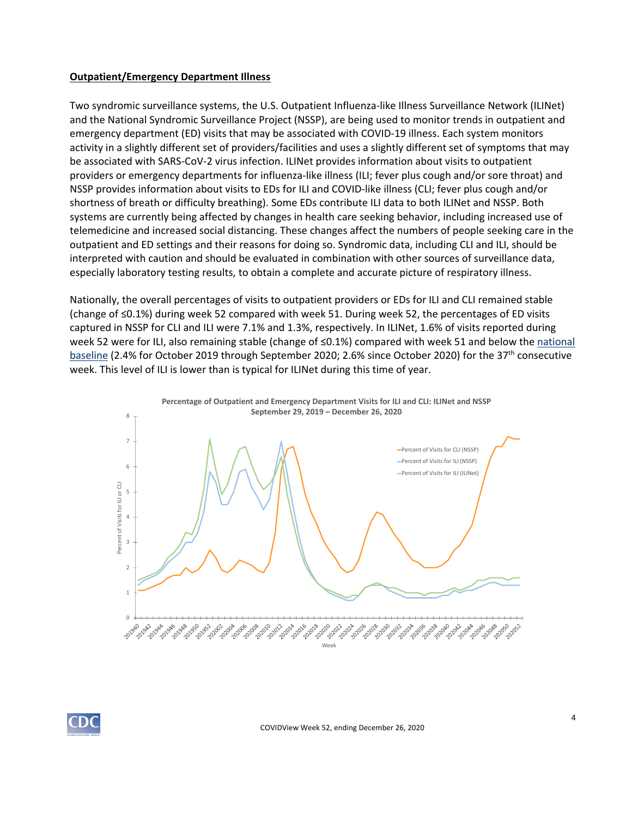#### **Outpatient/Emergency Department Illness**

Two syndromic surveillance systems, the U.S. Outpatient Influenza-like Illness Surveillance Network (ILINet) and the National Syndromic Surveillance Project (NSSP), are being used to monitor trends in outpatient and emergency department (ED) visits that may be associated with COVID-19 illness. Each system monitors activity in a slightly different set of providers/facilities and uses a slightly different set of symptoms that may be associated with SARS-CoV-2 virus infection. ILINet provides information about visits to outpatient providers or emergency departments for influenza-like illness (ILI; fever plus cough and/or sore throat) and NSSP provides information about visits to EDs for ILI and COVID-like illness (CLI; fever plus cough and/or shortness of breath or difficulty breathing). Some EDs contribute ILI data to both ILINet and NSSP. Both systems are currently being affected by changes in health care seeking behavior, including increased use of telemedicine and increased social distancing. These changes affect the numbers of people seeking care in the outpatient and ED settings and their reasons for doing so. Syndromic data, including CLI and ILI, should be interpreted with caution and should be evaluated in combination with other sources of surveillance data, especially laboratory testing results, to obtain a complete and accurate picture of respiratory illness.

Nationally, the overall percentages of visits to outpatient providers or EDs for ILI and CLI remained stable (change of ≤0.1%) during week 52 compared with week 51. During week 52, the percentages of ED visits captured in NSSP for CLI and ILI were 7.1% and 1.3%, respectively. In ILINet, 1.6% of visits reported during week 52 were for ILI, also remaining stable (change of ≤0.1%) compared with week 51 and below the national [baseline](https://www.cdc.gov/coronavirus/2019-ncov/covid-data/covidview/purpose-methods.html#outpatient) (2.4% for October 2019 through September 2020; 2.6% since October 2020) for the 37<sup>th</sup> consecutive week. This level of ILI is lower than is typical for ILINet during this time of year.



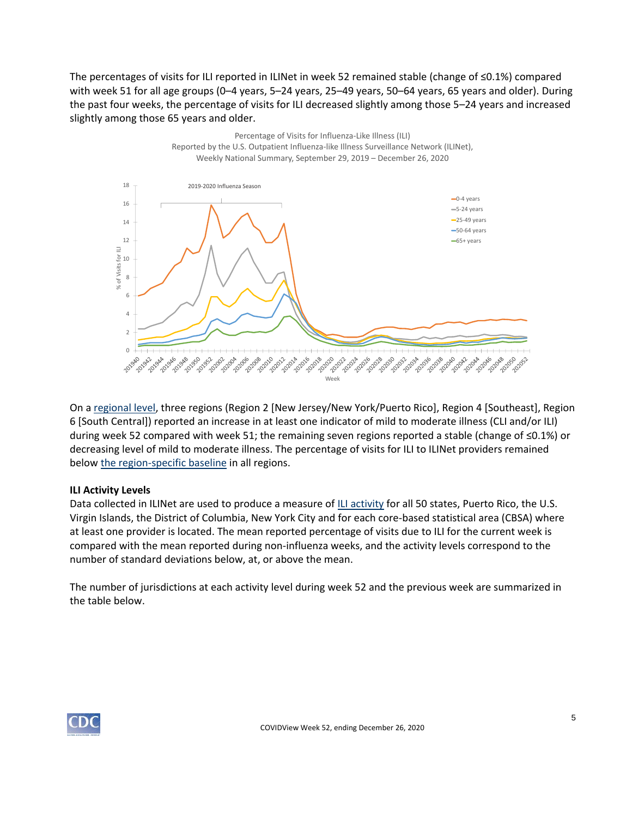The percentages of visits for ILI reported in ILINet in week 52 remained stable (change of ≤0.1%) compared with week 51 for all age groups (0–4 years, 5–24 years, 25–49 years, 50–64 years, 65 years and older). During the past four weeks, the percentage of visits for ILI decreased slightly among those 5–24 years and increased slightly among those 65 years and older.



On a [regional level,](https://www.hhs.gov/about/agencies/iea/regional-offices/index.html) three regions (Region 2 [New Jersey/New York/Puerto Rico], Region 4 [Southeast], Region 6 [South Central]) reported an increase in at least one indicator of mild to moderate illness (CLI and/or ILI) during week 52 compared with week 51; the remaining seven regions reported a stable (change of ≤0.1%) or decreasing level of mild to moderate illness. The percentage of visits for ILI to ILINet providers remained belo[w the region-specific baseline](https://www.cdc.gov/coronavirus/2019-ncov/covid-data/covidview/purpose-methods.html#outpatient) in all regions.

#### **ILI Activity Levels**

Data collected in ILINet are used to produce a measure of [ILI activity](https://www.cdc.gov/coronavirus/2019-ncov/covid-data/covidview/purpose-methods.html#outpatient) for all 50 states, Puerto Rico, the U.S. Virgin Islands, the District of Columbia, New York City and for each core-based statistical area (CBSA) where at least one provider is located. The mean reported percentage of visits due to ILI for the current week is compared with the mean reported during non-influenza weeks, and the activity levels correspond to the number of standard deviations below, at, or above the mean.

The number of jurisdictions at each activity level during week 52 and the previous week are summarized in the table below.

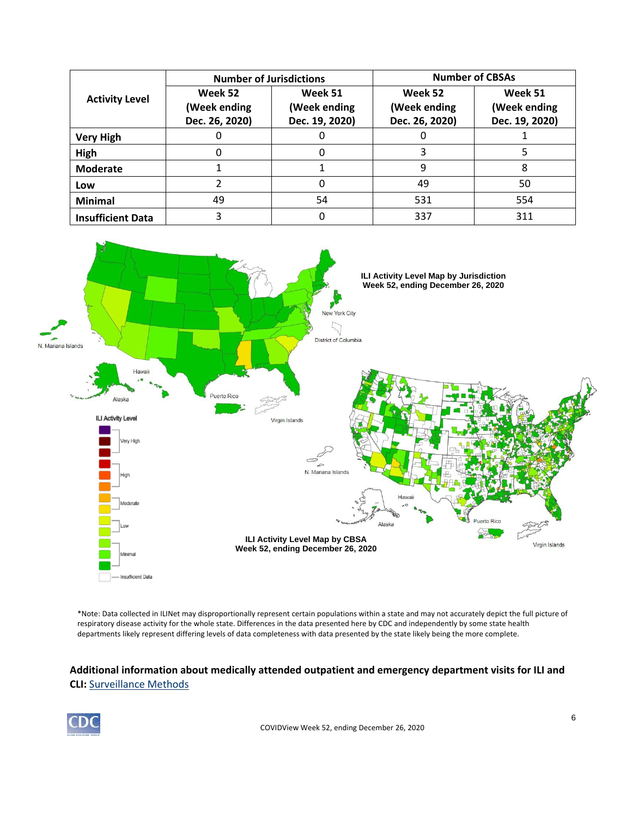| <b>Activity Level</b>    | <b>Number of Jurisdictions</b>            |                                           | <b>Number of CBSAs</b>                    |                                           |  |
|--------------------------|-------------------------------------------|-------------------------------------------|-------------------------------------------|-------------------------------------------|--|
|                          | Week 52<br>(Week ending<br>Dec. 26, 2020) | Week 51<br>(Week ending<br>Dec. 19, 2020) | Week 52<br>(Week ending<br>Dec. 26, 2020) | Week 51<br>(Week ending<br>Dec. 19, 2020) |  |
| <b>Very High</b>         |                                           |                                           |                                           |                                           |  |
| High                     |                                           |                                           |                                           |                                           |  |
| <b>Moderate</b>          |                                           |                                           | 9                                         | 8                                         |  |
| Low                      |                                           |                                           | 49                                        | 50                                        |  |
| <b>Minimal</b>           | 49                                        | 54                                        | 531                                       | 554                                       |  |
| <b>Insufficient Data</b> |                                           |                                           | 337                                       | 311                                       |  |



\*Note: Data collected in ILINet may disproportionally represent certain populations within a state and may not accurately depict the full picture of respiratory disease activity for the whole state. Differences in the data presented here by CDC and independently by some state health departments likely represent differing levels of data completeness with data presented by the state likely being the more complete.

## **Additional information about medically attended outpatient and emergency department visits for ILI and CLI:** [Surveillance Methods](https://www.cdc.gov/coronavirus/2019-ncov/covid-data/covidview/purpose-methods.html#outpatient)

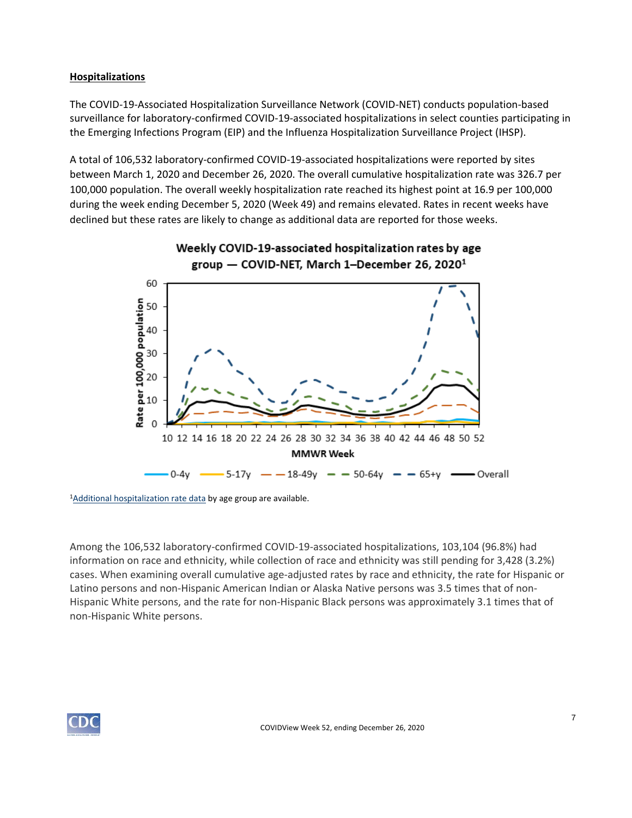### **Hospitalizations**

The COVID-19-Associated Hospitalization Surveillance Network (COVID-NET) conducts population-based surveillance for laboratory-confirmed COVID-19-associated hospitalizations in select counties participating in the Emerging Infections Program (EIP) and the Influenza Hospitalization Surveillance Project (IHSP).

A total of 106,532 laboratory-confirmed COVID-19-associated hospitalizations were reported by sites between March 1, 2020 and December 26, 2020. The overall cumulative hospitalization rate was 326.7 per 100,000 population. The overall weekly hospitalization rate reached its highest point at 16.9 per 100,000 during the week ending December 5, 2020 (Week 49) and remains elevated. Rates in recent weeks have declined but these rates are likely to change as additional data are reported for those weeks.



# Weekly COVID-19-associated hospitalization rates by age group  $-$  COVID-NET, March 1–December 26, 2020<sup>1</sup>

<sup>1</sup>[Additional hospitalization rate data](https://gis.cdc.gov/grasp/COVIDNet/COVID19_3.html) by age group are available.

Among the 106,532 laboratory-confirmed COVID-19-associated hospitalizations, 103,104 (96.8%) had information on race and ethnicity, while collection of race and ethnicity was still pending for 3,428 (3.2%) cases. When examining overall cumulative age-adjusted rates by race and ethnicity, the rate for Hispanic or Latino persons and non-Hispanic American Indian or Alaska Native persons was 3.5 times that of non-Hispanic White persons, and the rate for non-Hispanic Black persons was approximately 3.1 times that of non-Hispanic White persons.

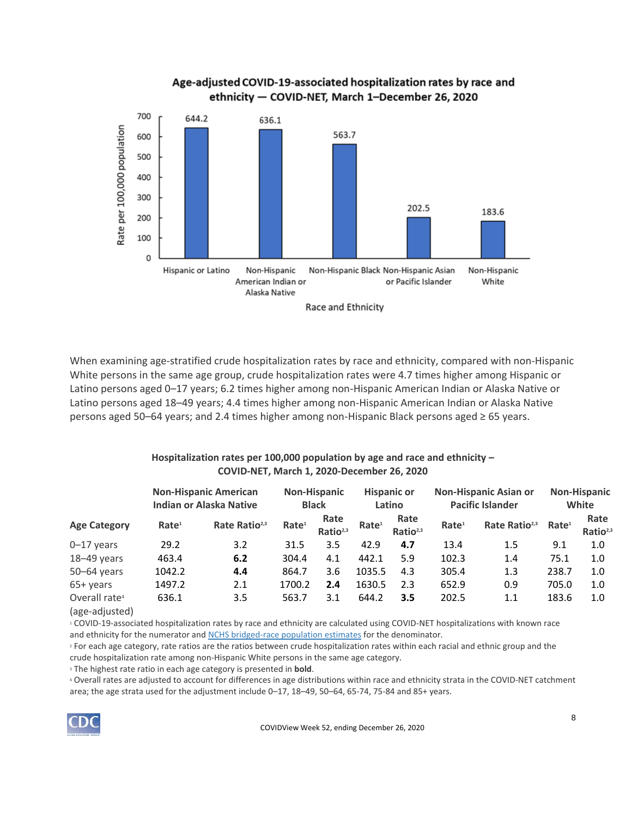

When examining age-stratified crude hospitalization rates by race and ethnicity, compared with non-Hispanic White persons in the same age group, crude hospitalization rates were 4.7 times higher among Hispanic or Latino persons aged 0–17 years; 6.2 times higher among non-Hispanic American Indian or Alaska Native or Latino persons aged 18–49 years; 4.4 times higher among non-Hispanic American Indian or Alaska Native persons aged 50–64 years; and 2.4 times higher among non-Hispanic Black persons aged ≥ 65 years.

### **Hospitalization rates per 100,000 population by age and race and ethnicity – COVID-NET, March 1, 2020-December 26, 2020**

|                                             | <b>Non-Hispanic American</b><br><b>Indian or Alaska Native</b> |                           | <b>Non-Hispanic</b><br><b>Black</b> |                              | <b>Hispanic or</b><br>Latino |                              | <b>Non-Hispanic Asian or</b><br><b>Pacific Islander</b> |                           | <b>Non-Hispanic</b><br>White |                              |
|---------------------------------------------|----------------------------------------------------------------|---------------------------|-------------------------------------|------------------------------|------------------------------|------------------------------|---------------------------------------------------------|---------------------------|------------------------------|------------------------------|
| <b>Age Category</b>                         | Rate <sup>1</sup>                                              | Rate Ratio <sup>2,3</sup> | Rate <sup>1</sup>                   | Rate<br>Ratio <sup>2,3</sup> | Rate <sup>1</sup>            | Rate<br>Ratio <sup>2,3</sup> | Rate <sup>1</sup>                                       | Rate Ratio <sup>2,3</sup> | Rate <sup>1</sup>            | Rate<br>Ratio <sup>2,3</sup> |
| $0 - 17$ years                              | 29.2                                                           | 3.2                       | 31.5                                | 3.5                          | 42.9                         | 4.7                          | 13.4                                                    | 1.5                       | 9.1                          | 1.0                          |
| 18-49 years                                 | 463.4                                                          | 6.2                       | 304.4                               | 4.1                          | 442.1                        | 5.9                          | 102.3                                                   | 1.4                       | 75.1                         | 1.0                          |
| $50 - 64$ years                             | 1042.2                                                         | 4.4                       | 864.7                               | 3.6                          | 1035.5                       | 4.3                          | 305.4                                                   | 1.3                       | 238.7                        | 1.0                          |
| $65+$ years                                 | 1497.2                                                         | 2.1                       | 1700.2                              | 2.4                          | 1630.5                       | 2.3                          | 652.9                                                   | 0.9                       | 705.0                        | 1.0                          |
| Overall rate <sup>4</sup><br>$1222$ $24+24$ | 636.1                                                          | 3.5                       | 563.7                               | 3.1                          | 644.2                        | 3.5                          | 202.5                                                   | 1.1                       | 183.6                        | 1.0                          |

(age-adjusted)

<sup>1</sup> COVID-19-associated hospitalization rates by race and ethnicity are calculated using COVID-NET hospitalizations with known race and ethnicity for the numerator and [NCHS bridged-race population estimates](https://www.cdc.gov/nchs/nvss/bridged_race.htm) for the denominator.

<sup>2</sup> For each age category, rate ratios are the ratios between crude hospitalization rates within each racial and ethnic group and the crude hospitalization rate among non-Hispanic White persons in the same age category.

<sup>3</sup> The highest rate ratio in each age category is presented in **bold**.

<sup>4</sup> Overall rates are adjusted to account for differences in age distributions within race and ethnicity strata in the COVID-NET catchment area; the age strata used for the adjustment include 0–17, 18–49, 50–64, 65-74, 75-84 and 85+ years.

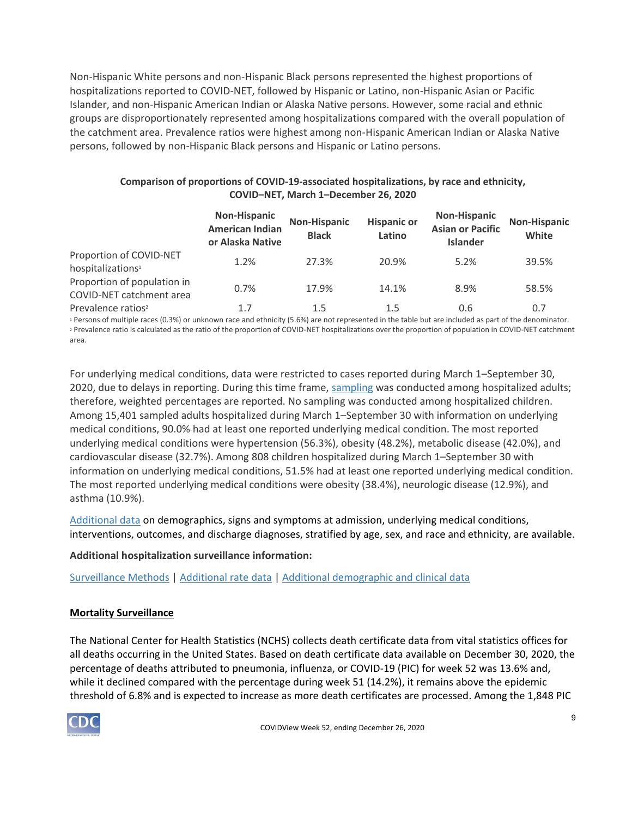Non-Hispanic White persons and non-Hispanic Black persons represented the highest proportions of hospitalizations reported to COVID-NET, followed by Hispanic or Latino, non-Hispanic Asian or Pacific Islander, and non-Hispanic American Indian or Alaska Native persons. However, some racial and ethnic groups are disproportionately represented among hospitalizations compared with the overall population of the catchment area. Prevalence ratios were highest among non-Hispanic American Indian or Alaska Native persons, followed by non-Hispanic Black persons and Hispanic or Latino persons.

#### **Comparison of proportions of COVID-19-associated hospitalizations, by race and ethnicity, COVID–NET, March 1–December 26, 2020**

|                                                          | <b>Non-Hispanic</b><br><b>American Indian</b><br>or Alaska Native | <b>Non-Hispanic</b><br><b>Black</b> | <b>Hispanic or</b><br>Latino | <b>Non-Hispanic</b><br><b>Asian or Pacific</b><br><b>Islander</b> | Non-Hispanic<br>White |
|----------------------------------------------------------|-------------------------------------------------------------------|-------------------------------------|------------------------------|-------------------------------------------------------------------|-----------------------|
| Proportion of COVID-NET<br>hospitalizations <sup>1</sup> | 1.2%                                                              | 27.3%                               | 20.9%                        | 5.2%                                                              | 39.5%                 |
| Proportion of population in<br>COVID-NET catchment area  | 0.7%                                                              | 17.9%                               | 14.1%                        | 8.9%                                                              | 58.5%                 |
| Prevalence ratios <sup>2</sup>                           | 1.7                                                               | 1.5                                 | 1.5                          | 0.6                                                               | 0.7                   |

<sup>1</sup> Persons of multiple races (0.3%) or unknown race and ethnicity (5.6%) are not represented in the table but are included as part of the denominator. <sup>2</sup> Prevalence ratio is calculated as the ratio of the proportion of COVID-NET hospitalizations over the proportion of population in COVID-NET catchment area.

For underlying medical conditions, data were restricted to cases reported during March 1–September 30, 2020, due to delays in reporting. During this time frame, [sampling](https://www.cdc.gov/coronavirus/2019-ncov/covid-data/covidview/purpose-methods.html#hospitalization) was conducted among hospitalized adults; therefore, weighted percentages are reported. No sampling was conducted among hospitalized children. Among 15,401 sampled adults hospitalized during March 1–September 30 with information on underlying medical conditions, 90.0% had at least one reported underlying medical condition. The most reported underlying medical conditions were hypertension (56.3%), obesity (48.2%), metabolic disease (42.0%), and cardiovascular disease (32.7%). Among 808 children hospitalized during March 1–September 30 with information on underlying medical conditions, 51.5% had at least one reported underlying medical condition. The most reported underlying medical conditions were obesity (38.4%), neurologic disease (12.9%), and asthma (10.9%).

[Additional data](https://gis.cdc.gov/grasp/COVIDNet/COVID19_5.html) on demographics, signs and symptoms at admission, underlying medical conditions, interventions, outcomes, and discharge diagnoses, stratified by age, sex, and race and ethnicity, are available.

## **Additional hospitalization surveillance information:**

[Surveillance Methods](https://www.cdc.gov/coronavirus/2019-ncov/covid-data/covidview/purpose-methods.html#hospitalization) | [Additional rate data](https://gis.cdc.gov/grasp/COVIDNet/COVID19_3.html) | [Additional demographic and clinical data](https://gis.cdc.gov/grasp/COVIDNet/COVID19_5.html)

## **Mortality Surveillance**

The National Center for Health Statistics (NCHS) collects death certificate data from vital statistics offices for all deaths occurring in the United States. Based on death certificate data available on December 30, 2020, the percentage of deaths attributed to pneumonia, influenza, or COVID-19 (PIC) for week 52 was 13.6% and, while it declined compared with the percentage during week 51 (14.2%), it remains above the epidemic threshold of 6.8% and is expected to increase as more death certificates are processed. Among the 1,848 PIC